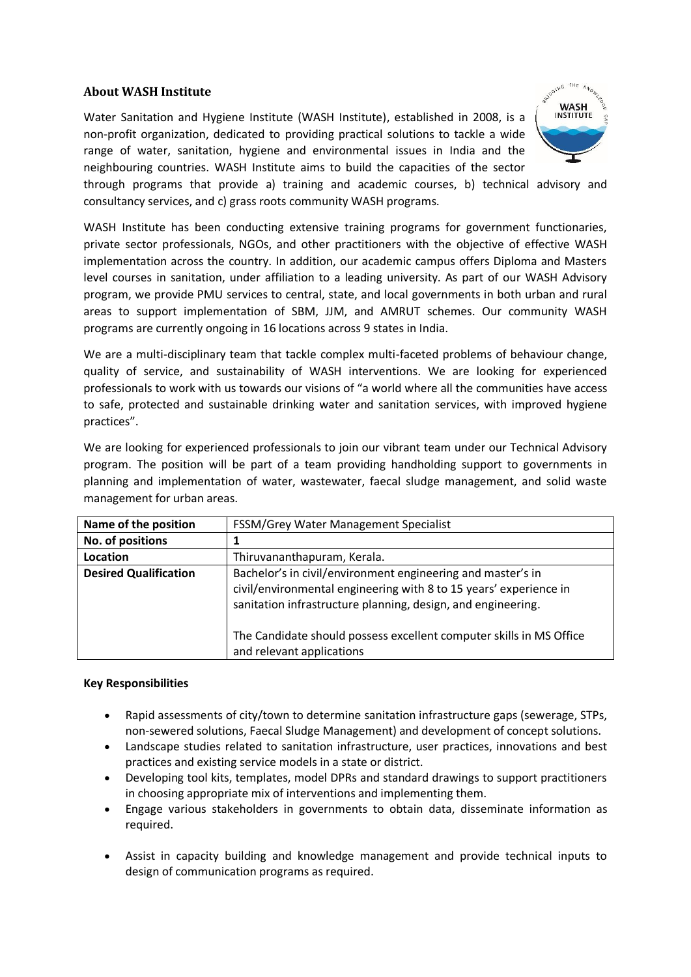# **About WASH Institute**

Water Sanitation and Hygiene Institute (WASH Institute), established in 2008, is a non-profit organization, dedicated to providing practical solutions to tackle a wide range of water, sanitation, hygiene and environmental issues in India and the neighbouring countries. WASH Institute aims to build the capacities of the sector



through programs that provide a) training and academic courses, b) technical advisory and consultancy services, and c) grass roots community WASH programs.

WASH Institute has been conducting extensive training programs for government functionaries, private sector professionals, NGOs, and other practitioners with the objective of effective WASH implementation across the country. In addition, our academic campus offers Diploma and Masters level courses in sanitation, under affiliation to a leading university. As part of our WASH Advisory program, we provide PMU services to central, state, and local governments in both urban and rural areas to support implementation of SBM, JJM, and AMRUT schemes. Our community WASH programs are currently ongoing in 16 locations across 9 states in India.

We are a multi-disciplinary team that tackle complex multi-faceted problems of behaviour change, quality of service, and sustainability of WASH interventions. We are looking for experienced professionals to work with us towards our visions of "a world where all the communities have access to safe, protected and sustainable drinking water and sanitation services, with improved hygiene practices".

We are looking for experienced professionals to join our vibrant team under our Technical Advisory program. The position will be part of a team providing handholding support to governments in planning and implementation of water, wastewater, faecal sludge management, and solid waste management for urban areas.

| Name of the position         | FSSM/Grey Water Management Specialist                                                                                                                                                                                                                                                                |
|------------------------------|------------------------------------------------------------------------------------------------------------------------------------------------------------------------------------------------------------------------------------------------------------------------------------------------------|
| No. of positions             |                                                                                                                                                                                                                                                                                                      |
| Location                     | Thiruvananthapuram, Kerala.                                                                                                                                                                                                                                                                          |
| <b>Desired Qualification</b> | Bachelor's in civil/environment engineering and master's in<br>civil/environmental engineering with 8 to 15 years' experience in<br>sanitation infrastructure planning, design, and engineering.<br>The Candidate should possess excellent computer skills in MS Office<br>and relevant applications |

### **Key Responsibilities**

- Rapid assessments of city/town to determine sanitation infrastructure gaps (sewerage, STPs, non-sewered solutions, Faecal Sludge Management) and development of concept solutions.
- Landscape studies related to sanitation infrastructure, user practices, innovations and best practices and existing service models in a state or district.
- Developing tool kits, templates, model DPRs and standard drawings to support practitioners in choosing appropriate mix of interventions and implementing them.
- Engage various stakeholders in governments to obtain data, disseminate information as required.
- Assist in capacity building and knowledge management and provide technical inputs to design of communication programs as required.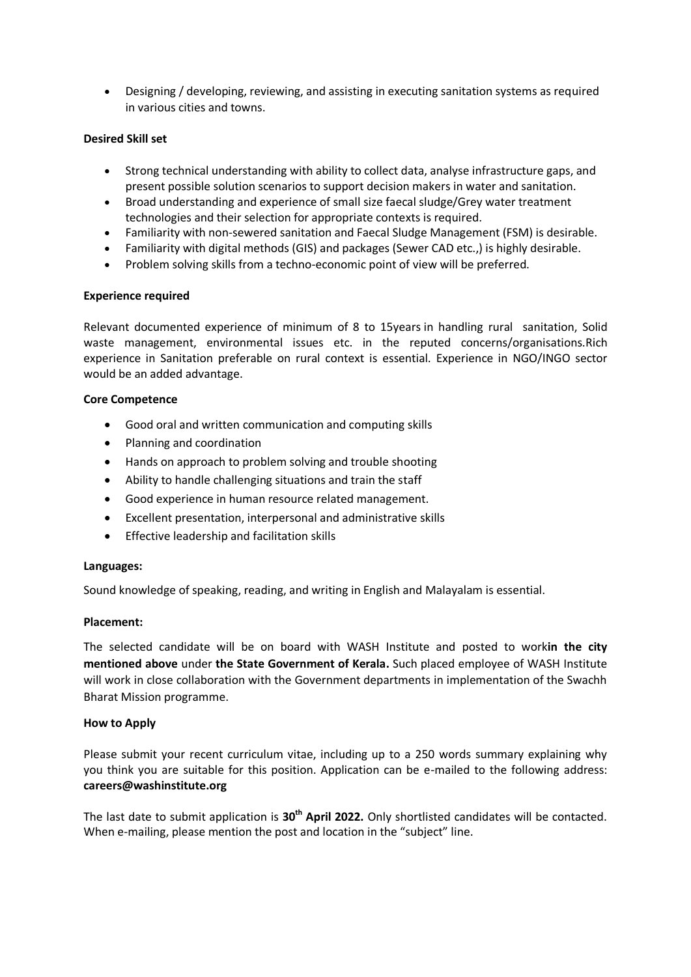Designing / developing, reviewing, and assisting in executing sanitation systems as required in various cities and towns.

# **Desired Skill set**

- Strong technical understanding with ability to collect data, analyse infrastructure gaps, and present possible solution scenarios to support decision makers in water and sanitation.
- Broad understanding and experience of small size faecal sludge/Grey water treatment technologies and their selection for appropriate contexts is required.
- Familiarity with non-sewered sanitation and Faecal Sludge Management (FSM) is desirable.
- Familiarity with digital methods (GIS) and packages (Sewer CAD etc.,) is highly desirable.
- Problem solving skills from a techno-economic point of view will be preferred.

### **Experience required**

Relevant documented experience of minimum of 8 to 15years in handling rural sanitation, Solid waste management, environmental issues etc. in the reputed concerns/organisations.Rich experience in Sanitation preferable on rural context is essential. Experience in NGO/INGO sector would be an added advantage.

### **Core Competence**

- Good oral and written communication and computing skills
- Planning and coordination
- Hands on approach to problem solving and trouble shooting
- Ability to handle challenging situations and train the staff
- Good experience in human resource related management.
- Excellent presentation, interpersonal and administrative skills
- **•** Effective leadership and facilitation skills

### **Languages:**

Sound knowledge of speaking, reading, and writing in English and Malayalam is essential.

### **Placement:**

The selected candidate will be on board with WASH Institute and posted to work**in the city mentioned above** under **the State Government of Kerala.** Such placed employee of WASH Institute will work in close collaboration with the Government departments in implementation of the Swachh Bharat Mission programme.

### **How to Apply**

Please submit your recent curriculum vitae, including up to a 250 words summary explaining why you think you are suitable for this position. Application can be e-mailed to the following address: **careers@washinstitute.org** 

The last date to submit application is **30th April 2022.** Only shortlisted candidates will be contacted. When e-mailing, please mention the post and location in the "subject" line.